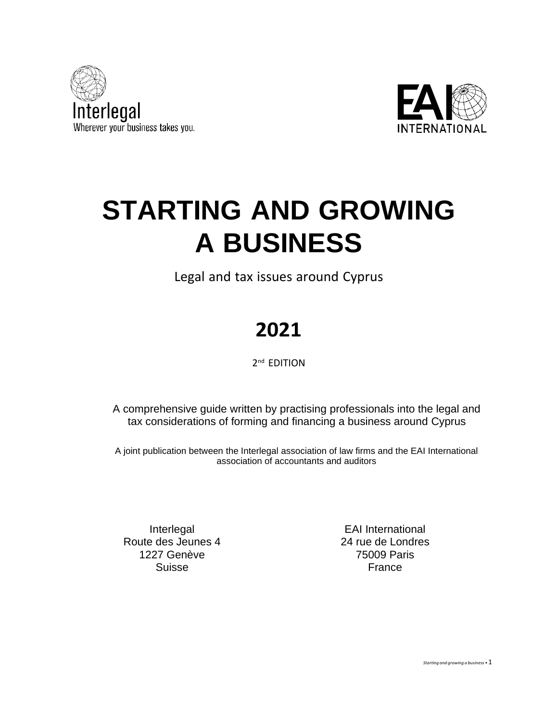



# **STARTING AND GROWING A BUSINESS**

Legal and tax issues around Cyprus

# **2021**

2<sup>nd</sup> EDITION

A comprehensive guide written by practising professionals into the legal and tax considerations of forming and financing a business around Cyprus

A joint publication between the Interlegal association of law firms and the EAI International association of accountants and auditors

Interlegal Route des Jeunes 4 1227 Genève Suisse

EAI International 24 rue de Londres 75009 Paris France

*Starting and growing <sup>a</sup> business •*1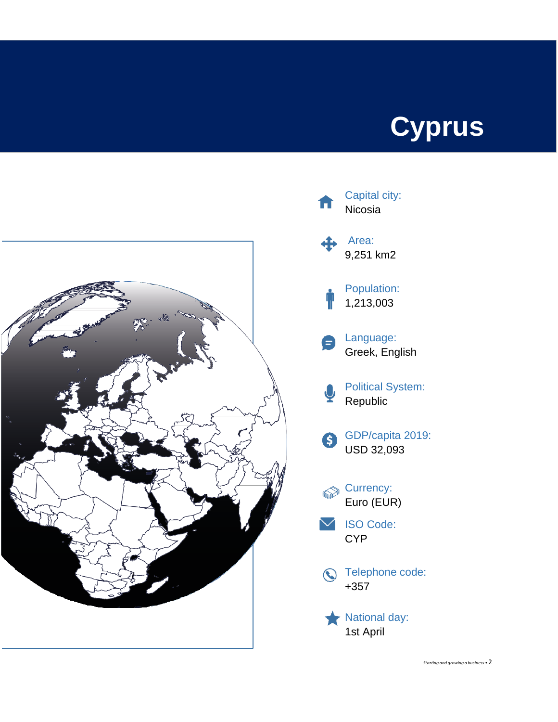# **Cyprus**





*Starting and growing <sup>a</sup> business •*2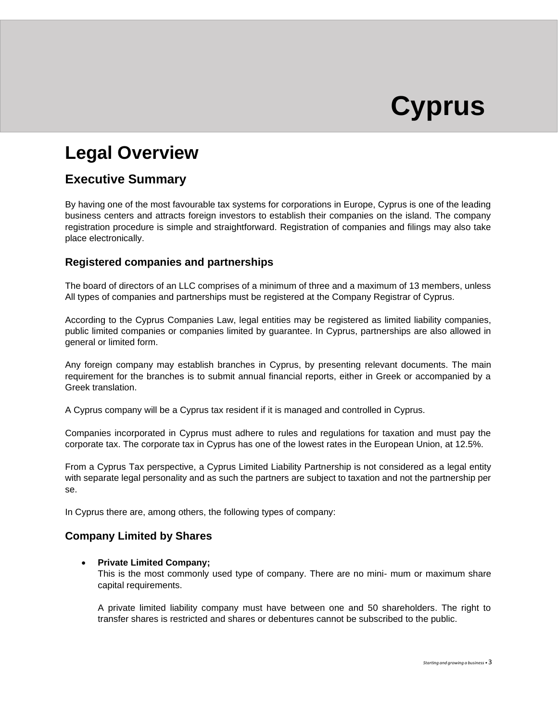# **Cyprus**

## **Legal Overview**

### **Executive Summary**

By having one of the most favourable tax systems for corporations in Europe, Cyprus is one of the leading business centers and attracts foreign investors to establish their companies on the island. The company registration procedure is simple and straightforward. Registration of companies and filings may also take place electronically.

### **Registered companies and partnerships**

The board of directors of an LLC comprises of a minimum of three and a maximum of 13 members, unless All types of companies and partnerships must be registered at the Company Registrar of Cyprus.

According to the Cyprus Companies Law, legal entities may be registered as limited liability companies, public limited companies or companies limited by guarantee. In Cyprus, partnerships are also allowed in general or limited form.

Any foreign company may establish branches in Cyprus, by presenting relevant documents. The main requirement for the branches is to submit annual financial reports, either in Greek or accompanied by a Greek translation.

A Cyprus company will be a Cyprus tax resident if it is managed and controlled in Cyprus.

Companies incorporated in Cyprus must adhere to rules and regulations for taxation and must pay the corporate tax. The corporate tax in Cyprus has one of the lowest rates in the European Union, at 12.5%.

From a Cyprus Tax perspective, a Cyprus Limited Liability Partnership is not considered as a legal entity with separate legal personality and as such the partners are subject to taxation and not the partnership per se.

In Cyprus there are, among others, the following types of company:

### **Company Limited by Shares**

### • **Private Limited Company;**

This is the most commonly used type of company. There are no mini- mum or maximum share capital requirements.

A private limited liability company must have between one and 50 shareholders. The right to transfer shares is restricted and shares or debentures cannot be subscribed to the public.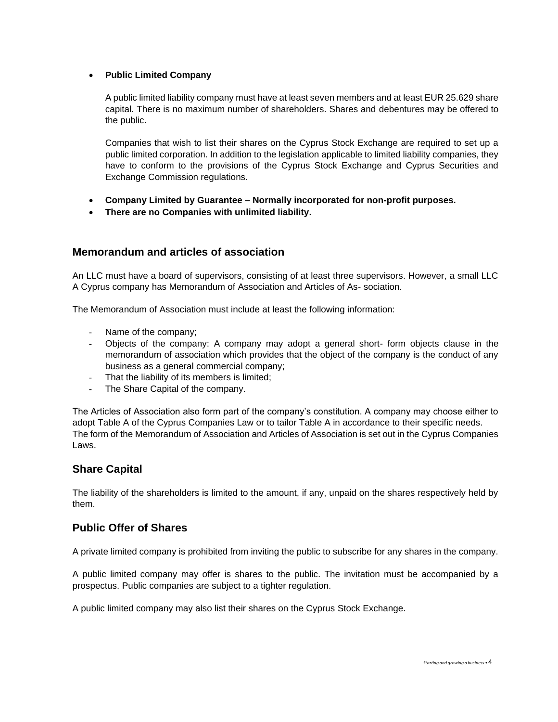#### • **Public Limited Company**

A public limited liability company must have at least seven members and at least EUR 25.629 share capital. There is no maximum number of shareholders. Shares and debentures may be offered to the public.

Companies that wish to list their shares on the Cyprus Stock Exchange are required to set up a public limited corporation. In addition to the legislation applicable to limited liability companies, they have to conform to the provisions of the Cyprus Stock Exchange and Cyprus Securities and Exchange Commission regulations.

- **Company Limited by Guarantee – Normally incorporated for non-profit purposes.**
- **There are no Companies with unlimited liability.**

### **Memorandum and articles of association**

An LLC must have a board of supervisors, consisting of at least three supervisors. However, a small LLC A Cyprus company has Memorandum of Association and Articles of As- sociation.

The Memorandum of Association must include at least the following information:

- Name of the company;
- Objects of the company: A company may adopt a general short- form objects clause in the memorandum of association which provides that the object of the company is the conduct of any business as a general commercial company;
- That the liability of its members is limited;
- The Share Capital of the company.

The Articles of Association also form part of the company's constitution. A company may choose either to adopt Table A of the Cyprus Companies Law or to tailor Table A in accordance to their specific needs. The form of the Memorandum of Association and Articles of Association is set out in the Cyprus Companies Laws.

### **Share Capital**

The liability of the shareholders is limited to the amount, if any, unpaid on the shares respectively held by them.

### **Public Offer of Shares**

A private limited company is prohibited from inviting the public to subscribe for any shares in the company.

A public limited company may offer is shares to the public. The invitation must be accompanied by a prospectus. Public companies are subject to a tighter regulation.

A public limited company may also list their shares on the Cyprus Stock Exchange.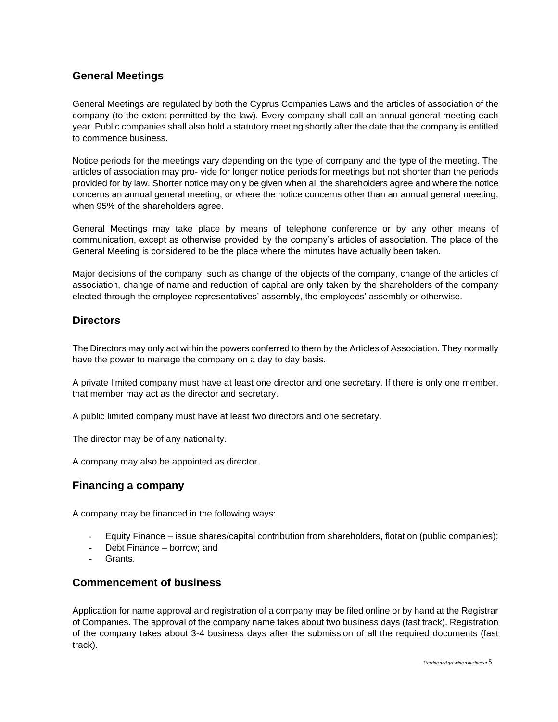### **General Meetings**

General Meetings are regulated by both the Cyprus Companies Laws and the articles of association of the company (to the extent permitted by the law). Every company shall call an annual general meeting each year. Public companies shall also hold a statutory meeting shortly after the date that the company is entitled to commence business.

Notice periods for the meetings vary depending on the type of company and the type of the meeting. The articles of association may pro- vide for longer notice periods for meetings but not shorter than the periods provided for by law. Shorter notice may only be given when all the shareholders agree and where the notice concerns an annual general meeting, or where the notice concerns other than an annual general meeting, when 95% of the shareholders agree.

General Meetings may take place by means of telephone conference or by any other means of communication, except as otherwise provided by the company's articles of association. The place of the General Meeting is considered to be the place where the minutes have actually been taken.

Major decisions of the company, such as change of the objects of the company, change of the articles of association, change of name and reduction of capital are only taken by the shareholders of the company elected through the employee representatives' assembly, the employees' assembly or otherwise.

### **Directors**

The Directors may only act within the powers conferred to them by the Articles of Association. They normally have the power to manage the company on a day to day basis.

A private limited company must have at least one director and one secretary. If there is only one member, that member may act as the director and secretary.

A public limited company must have at least two directors and one secretary.

The director may be of any nationality.

A company may also be appointed as director.

### **Financing a company**

A company may be financed in the following ways:

- Equity Finance issue shares/capital contribution from shareholders, flotation (public companies);
- Debt Finance borrow; and
- Grants.

### **Commencement of business**

Application for name approval and registration of a company may be filed online or by hand at the Registrar of Companies. The approval of the company name takes about two business days (fast track). Registration of the company takes about 3-4 business days after the submission of all the required documents (fast track).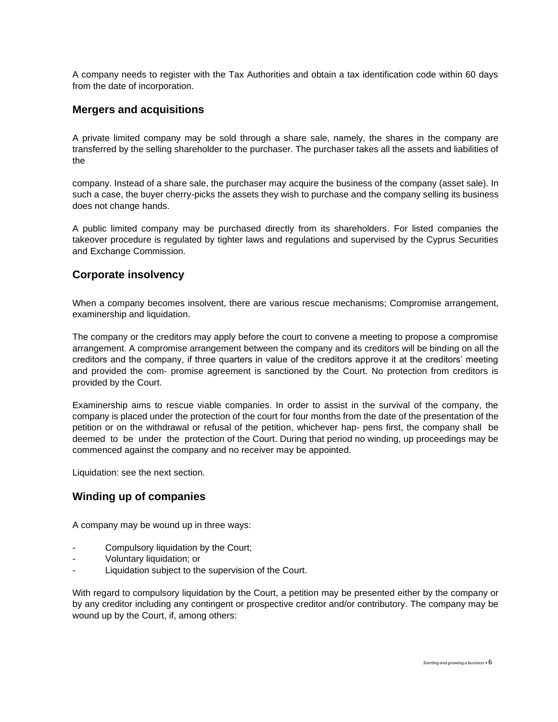A company needs to register with the Tax Authorities and obtain a tax identification code within 60 days from the date of incorporation.

### **Mergers and acquisitions**

A private limited company may be sold through a share sale, namely, the shares in the company are transferred by the selling shareholder to the purchaser. The purchaser takes all the assets and liabilities of the

company. Instead of a share sale, the purchaser may acquire the business of the company (asset sale). In such a case, the buyer cherry-picks the assets they wish to purchase and the company selling its business does not change hands.

A public limited company may be purchased directly from its shareholders. For listed companies the takeover procedure is regulated by tighter laws and regulations and supervised by the Cyprus Securities and Exchange Commission.

### **Corporate insolvency**

When a company becomes insolvent, there are various rescue mechanisms; Compromise arrangement, examinership and liquidation.

The company or the creditors may apply before the court to convene a meeting to propose a compromise arrangement. A compromise arrangement between the company and its creditors will be binding on all the creditors and the company, if three quarters in value of the creditors approve it at the creditors' meeting and provided the com- promise agreement is sanctioned by the Court. No protection from creditors is provided by the Court.

Examinership aims to rescue viable companies. In order to assist in the survival of the company, the company is placed under the protection of the court for four months from the date of the presentation of the petition or on the withdrawal or refusal of the petition, whichever hap- pens first, the company shall be deemed to be under the protection of the Court. During that period no winding, up proceedings may be commenced against the company and no receiver may be appointed.

Liquidation: see the next section.

### **Winding up of companies**

A company may be wound up in three ways:

- Compulsory liquidation by the Court;
- Voluntary liquidation; or
- Liquidation subject to the supervision of the Court.

With regard to compulsory liquidation by the Court, a petition may be presented either by the company or by any creditor including any contingent or prospective creditor and/or contributory. The company may be wound up by the Court, if, among others: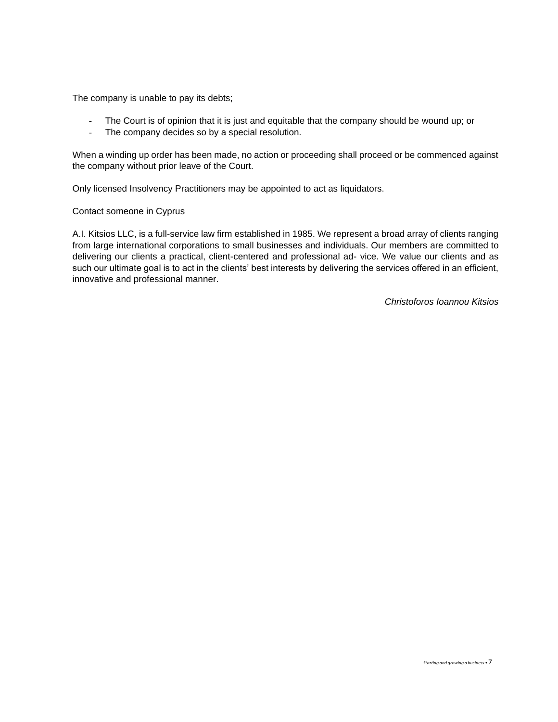The company is unable to pay its debts;

- The Court is of opinion that it is just and equitable that the company should be wound up; or
- The company decides so by a special resolution.

When a winding up order has been made, no action or proceeding shall proceed or be commenced against the company without prior leave of the Court.

Only licensed Insolvency Practitioners may be appointed to act as liquidators.

#### Contact someone in Cyprus

A.I. Kitsios LLC, is a full-service law firm established in 1985. We represent a broad array of clients ranging from large international corporations to small businesses and individuals. Our members are committed to delivering our clients a practical, client-centered and professional ad- vice. We value our clients and as such our ultimate goal is to act in the clients' best interests by delivering the services offered in an efficient, innovative and professional manner.

*Christoforos Ioannou Kitsios*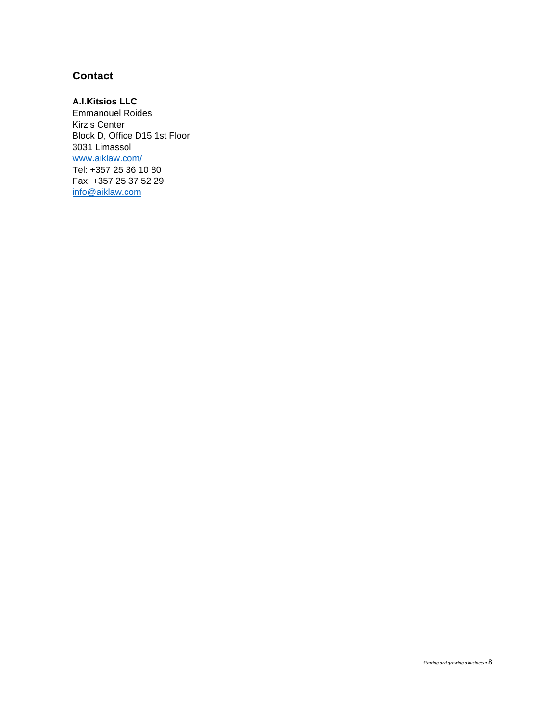### **Contact**

### **A.I.Kitsios LLC**

Emmanouel Roides Kirzis Center Block D, Office D15 1st Floor 3031 Limassol [www.aiklaw.com/](http://www.aiklaw.com/) Tel: +357 25 36 10 80 Fax: +357 25 37 52 29 [info@aiklaw.com](mailto:info@aiklaw.com)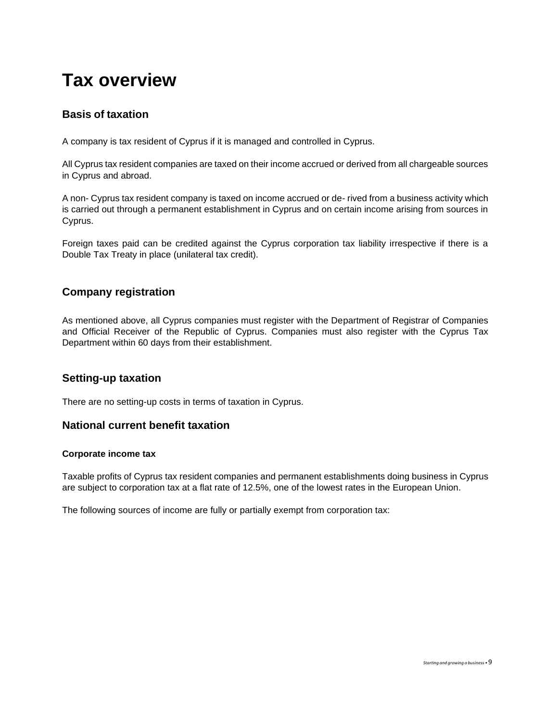## **Tax overview**

### **Basis of taxation**

A company is tax resident of Cyprus if it is managed and controlled in Cyprus.

All Cyprus tax resident companies are taxed on their income accrued or derived from all chargeable sources in Cyprus and abroad.

A non- Cyprus tax resident company is taxed on income accrued or de- rived from a business activity which is carried out through a permanent establishment in Cyprus and on certain income arising from sources in Cyprus.

Foreign taxes paid can be credited against the Cyprus corporation tax liability irrespective if there is a Double Tax Treaty in place (unilateral tax credit).

### **Company registration**

As mentioned above, all Cyprus companies must register with the Department of Registrar of Companies and Official Receiver of the Republic of Cyprus. Companies must also register with the Cyprus Tax Department within 60 days from their establishment.

### **Setting-up taxation**

There are no setting-up costs in terms of taxation in Cyprus.

### **National current benefit taxation**

#### **Corporate income tax**

Taxable profits of Cyprus tax resident companies and permanent establishments doing business in Cyprus are subject to corporation tax at a flat rate of 12.5%, one of the lowest rates in the European Union.

The following sources of income are fully or partially exempt from corporation tax: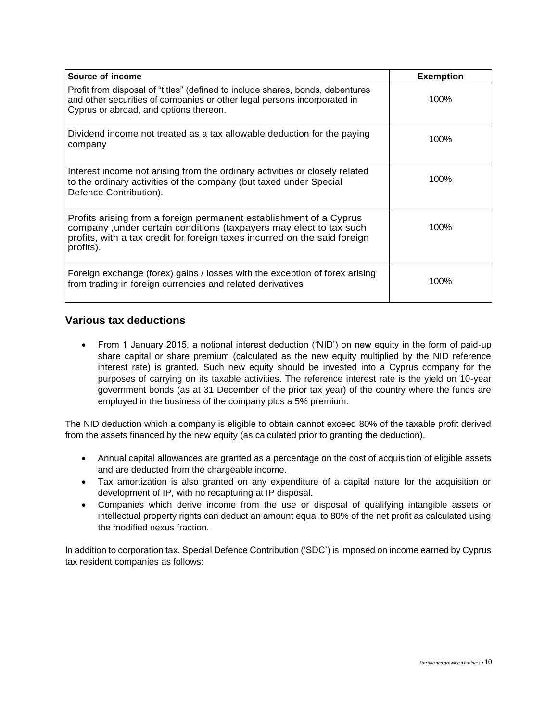| Source of income                                                                                                                                                                                                                   | <b>Exemption</b> |
|------------------------------------------------------------------------------------------------------------------------------------------------------------------------------------------------------------------------------------|------------------|
| Profit from disposal of "titles" (defined to include shares, bonds, debentures<br>and other securities of companies or other legal persons incorporated in<br>Cyprus or abroad, and options thereon.                               | 100%             |
| Dividend income not treated as a tax allowable deduction for the paying<br>company                                                                                                                                                 | 100%             |
| Interest income not arising from the ordinary activities or closely related<br>to the ordinary activities of the company (but taxed under Special<br>Defence Contribution).                                                        | 100%             |
| Profits arising from a foreign permanent establishment of a Cyprus<br>company, under certain conditions (taxpayers may elect to tax such<br>profits, with a tax credit for foreign taxes incurred on the said foreign<br>profits). | 100%             |
| Foreign exchange (forex) gains / losses with the exception of forex arising<br>from trading in foreign currencies and related derivatives                                                                                          | 100%             |

### **Various tax deductions**

• From 1 January 2015, a notional interest deduction ('NID') on new equity in the form of paid-up share capital or share premium (calculated as the new equity multiplied by the NID reference interest rate) is granted. Such new equity should be invested into a Cyprus company for the purposes of carrying on its taxable activities. The reference interest rate is the yield on 10-year government bonds (as at 31 December of the prior tax year) of the country where the funds are employed in the business of the company plus a 5% premium.

The NID deduction which a company is eligible to obtain cannot exceed 80% of the taxable profit derived from the assets financed by the new equity (as calculated prior to granting the deduction).

- Annual capital allowances are granted as a percentage on the cost of acquisition of eligible assets and are deducted from the chargeable income.
- Tax amortization is also granted on any expenditure of a capital nature for the acquisition or development of IP, with no recapturing at IP disposal.
- Companies which derive income from the use or disposal of qualifying intangible assets or intellectual property rights can deduct an amount equal to 80% of the net profit as calculated using the modified nexus fraction.

In addition to corporation tax, Special Defence Contribution ('SDC') is imposed on income earned by Cyprus tax resident companies as follows: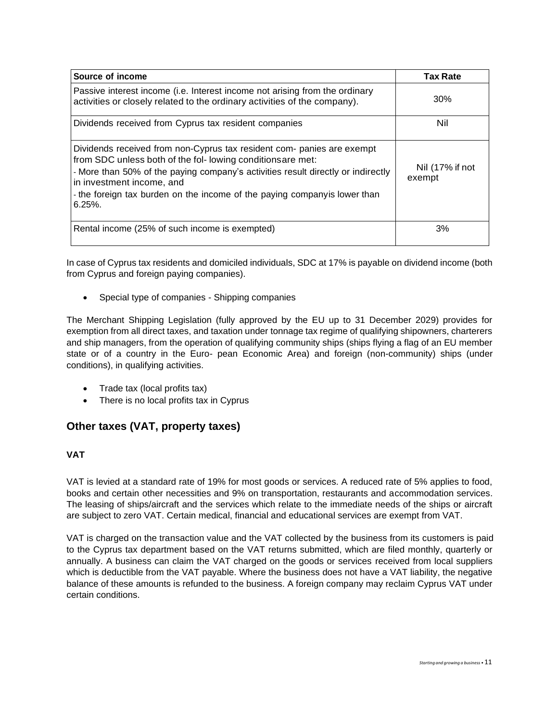| Source of income                                                                                                                                                                                                                                                                                                                                 | <b>Tax Rate</b>           |
|--------------------------------------------------------------------------------------------------------------------------------------------------------------------------------------------------------------------------------------------------------------------------------------------------------------------------------------------------|---------------------------|
| Passive interest income (i.e. Interest income not arising from the ordinary<br>activities or closely related to the ordinary activities of the company).                                                                                                                                                                                         | 30%                       |
| Dividends received from Cyprus tax resident companies                                                                                                                                                                                                                                                                                            | Nil                       |
| Dividends received from non-Cyprus tax resident com- panies are exempt<br>from SDC unless both of the fol-lowing conditions are met:<br>- More than 50% of the paying company's activities result directly or indirectly<br>in investment income, and<br>- the foreign tax burden on the income of the paying companyis lower than<br>$6.25\%$ . | Nil (17% if not<br>exempt |
| Rental income (25% of such income is exempted)                                                                                                                                                                                                                                                                                                   | 3%                        |

In case of Cyprus tax residents and domiciled individuals, SDC at 17% is payable on dividend income (both from Cyprus and foreign paying companies).

• Special type of companies - Shipping companies

The Merchant Shipping Legislation (fully approved by the EU up to 31 December 2029) provides for exemption from all direct taxes, and taxation under tonnage tax regime of qualifying shipowners, charterers and ship managers, from the operation of qualifying community ships (ships flying a flag of an EU member state or of a country in the Euro- pean Economic Area) and foreign (non-community) ships (under conditions), in qualifying activities.

- Trade tax (local profits tax)
- There is no local profits tax in Cyprus

### **Other taxes (VAT, property taxes)**

### **VAT**

VAT is levied at a standard rate of 19% for most goods or services. A reduced rate of 5% applies to food, books and certain other necessities and 9% on transportation, restaurants and accommodation services. The leasing of ships/aircraft and the services which relate to the immediate needs of the ships or aircraft are subject to zero VAT. Certain medical, financial and educational services are exempt from VAT.

VAT is charged on the transaction value and the VAT collected by the business from its customers is paid to the Cyprus tax department based on the VAT returns submitted, which are filed monthly, quarterly or annually. A business can claim the VAT charged on the goods or services received from local suppliers which is deductible from the VAT payable. Where the business does not have a VAT liability, the negative balance of these amounts is refunded to the business. A foreign company may reclaim Cyprus VAT under certain conditions.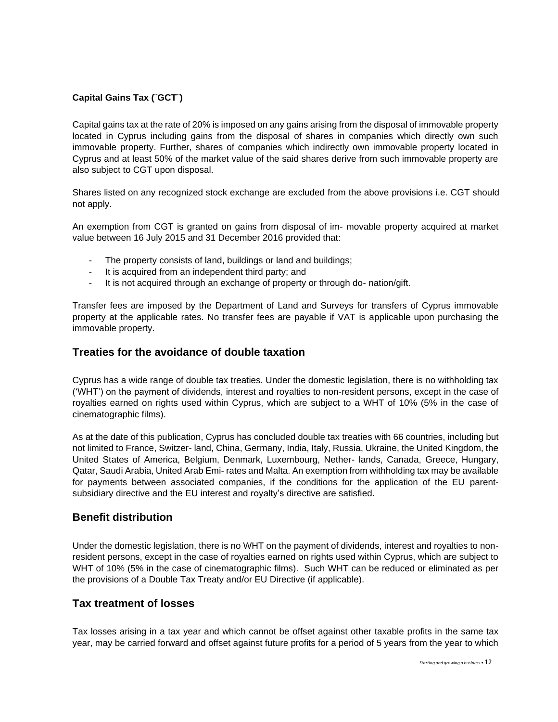### **Capital Gains Tax (¨GCT¨)**

Capital gains tax at the rate of 20% is imposed on any gains arising from the disposal of immovable property located in Cyprus including gains from the disposal of shares in companies which directly own such immovable property. Further, shares of companies which indirectly own immovable property located in Cyprus and at least 50% of the market value of the said shares derive from such immovable property are also subject to CGT upon disposal.

Shares listed on any recognized stock exchange are excluded from the above provisions i.e. CGT should not apply.

An exemption from CGT is granted on gains from disposal of im- movable property acquired at market value between 16 July 2015 and 31 December 2016 provided that:

- The property consists of land, buildings or land and buildings;
- It is acquired from an independent third party; and
- It is not acquired through an exchange of property or through do- nation/gift.

Transfer fees are imposed by the Department of Land and Surveys for transfers of Cyprus immovable property at the applicable rates. No transfer fees are payable if VAT is applicable upon purchasing the immovable property.

### **Treaties for the avoidance of double taxation**

Cyprus has a wide range of double tax treaties. Under the domestic legislation, there is no withholding tax ('WHT') on the payment of dividends, interest and royalties to non-resident persons, except in the case of royalties earned on rights used within Cyprus, which are subject to a WHT of 10% (5% in the case of cinematographic films).

As at the date of this publication, Cyprus has concluded double tax treaties with 66 countries, including but not limited to France, Switzer- land, China, Germany, India, Italy, Russia, Ukraine, the United Kingdom, the United States of America, Belgium, Denmark, Luxembourg, Nether- lands, Canada, Greece, Hungary, Qatar, Saudi Arabia, United Arab Emi- rates and Malta. An exemption from withholding tax may be available for payments between associated companies, if the conditions for the application of the EU parentsubsidiary directive and the EU interest and royalty's directive are satisfied.

### **Benefit distribution**

Under the domestic legislation, there is no WHT on the payment of dividends, interest and royalties to nonresident persons, except in the case of royalties earned on rights used within Cyprus, which are subject to WHT of 10% (5% in the case of cinematographic films). Such WHT can be reduced or eliminated as per the provisions of a Double Tax Treaty and/or EU Directive (if applicable).

### **Tax treatment of losses**

Tax losses arising in a tax year and which cannot be offset against other taxable profits in the same tax year, may be carried forward and offset against future profits for a period of 5 years from the year to which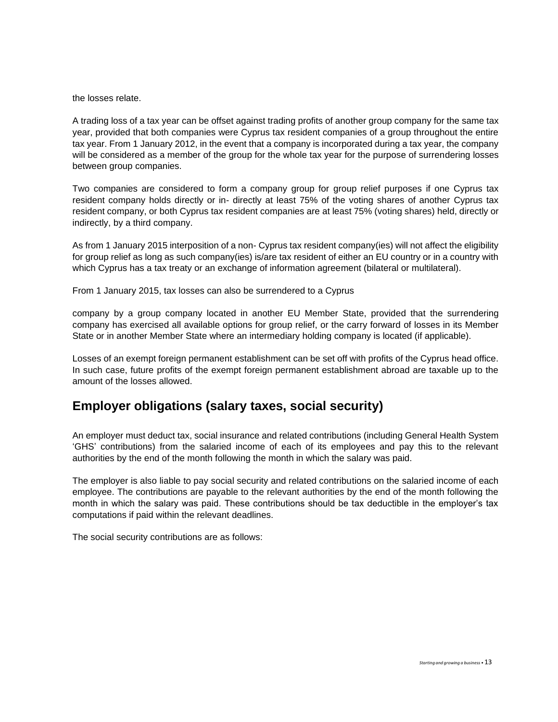the losses relate.

A trading loss of a tax year can be offset against trading profits of another group company for the same tax year, provided that both companies were Cyprus tax resident companies of a group throughout the entire tax year. From 1 January 2012, in the event that a company is incorporated during a tax year, the company will be considered as a member of the group for the whole tax year for the purpose of surrendering losses between group companies.

Two companies are considered to form a company group for group relief purposes if one Cyprus tax resident company holds directly or in- directly at least 75% of the voting shares of another Cyprus tax resident company, or both Cyprus tax resident companies are at least 75% (voting shares) held, directly or indirectly, by a third company.

As from 1 January 2015 interposition of a non- Cyprus tax resident company(ies) will not affect the eligibility for group relief as long as such company(ies) is/are tax resident of either an EU country or in a country with which Cyprus has a tax treaty or an exchange of information agreement (bilateral or multilateral).

From 1 January 2015, tax losses can also be surrendered to a Cyprus

company by a group company located in another EU Member State, provided that the surrendering company has exercised all available options for group relief, or the carry forward of losses in its Member State or in another Member State where an intermediary holding company is located (if applicable).

Losses of an exempt foreign permanent establishment can be set off with profits of the Cyprus head office. In such case, future profits of the exempt foreign permanent establishment abroad are taxable up to the amount of the losses allowed.

### **Employer obligations (salary taxes, social security)**

An employer must deduct tax, social insurance and related contributions (including General Health System 'GHS' contributions) from the salaried income of each of its employees and pay this to the relevant authorities by the end of the month following the month in which the salary was paid.

The employer is also liable to pay social security and related contributions on the salaried income of each employee. The contributions are payable to the relevant authorities by the end of the month following the month in which the salary was paid. These contributions should be tax deductible in the employer's tax computations if paid within the relevant deadlines.

The social security contributions are as follows: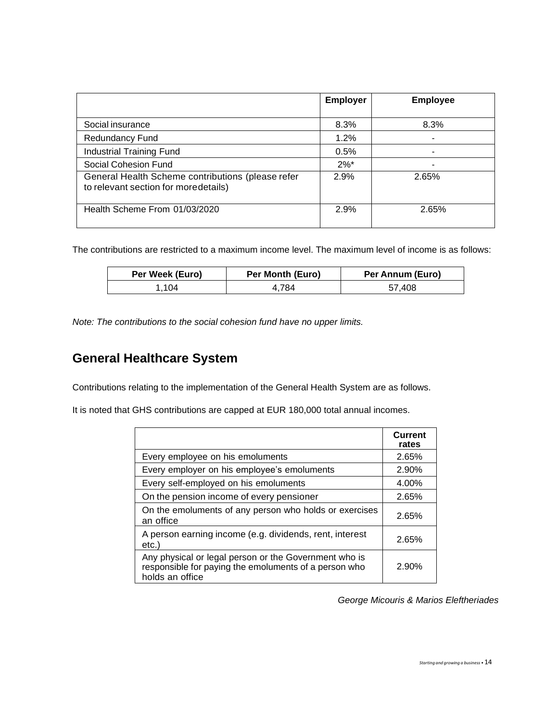|                                                                                           | <b>Employer</b>    | <b>Employee</b> |
|-------------------------------------------------------------------------------------------|--------------------|-----------------|
|                                                                                           |                    |                 |
| Social insurance                                                                          | 8.3%               | 8.3%            |
| <b>Redundancy Fund</b>                                                                    | 1.2%               |                 |
| <b>Industrial Training Fund</b>                                                           | 0.5%               |                 |
| Social Cohesion Fund                                                                      | $2\%$ <sup>*</sup> |                 |
| General Health Scheme contributions (please refer<br>to relevant section for moredetails) | 2.9%               | 2.65%           |
| Health Scheme From 01/03/2020                                                             | 2.9%               | 2.65%           |

The contributions are restricted to a maximum income level. The maximum level of income is as follows:

| Per Week (Euro) | Per Month (Euro) | Per Annum (Euro) |
|-----------------|------------------|------------------|
| 104             | 784.             | 57.408           |

*Note: The contributions to the social cohesion fund have no upper limits.*

## **General Healthcare System**

Contributions relating to the implementation of the General Health System are as follows.

It is noted that GHS contributions are capped at EUR 180,000 total annual incomes.

|                                                                                                                                   | <b>Current</b><br>rates |
|-----------------------------------------------------------------------------------------------------------------------------------|-------------------------|
| Every employee on his emoluments                                                                                                  | 2.65%                   |
| Every employer on his employee's emoluments                                                                                       | 2.90%                   |
| Every self-employed on his emoluments                                                                                             | 4.00%                   |
| On the pension income of every pensioner                                                                                          | 2.65%                   |
| On the emoluments of any person who holds or exercises<br>an office                                                               | 2.65%                   |
| A person earning income (e.g. dividends, rent, interest<br>etc.)                                                                  | 2.65%                   |
| Any physical or legal person or the Government who is<br>responsible for paying the emoluments of a person who<br>holds an office | 2.90%                   |

*George Micouris & Marios Eleftheriades*